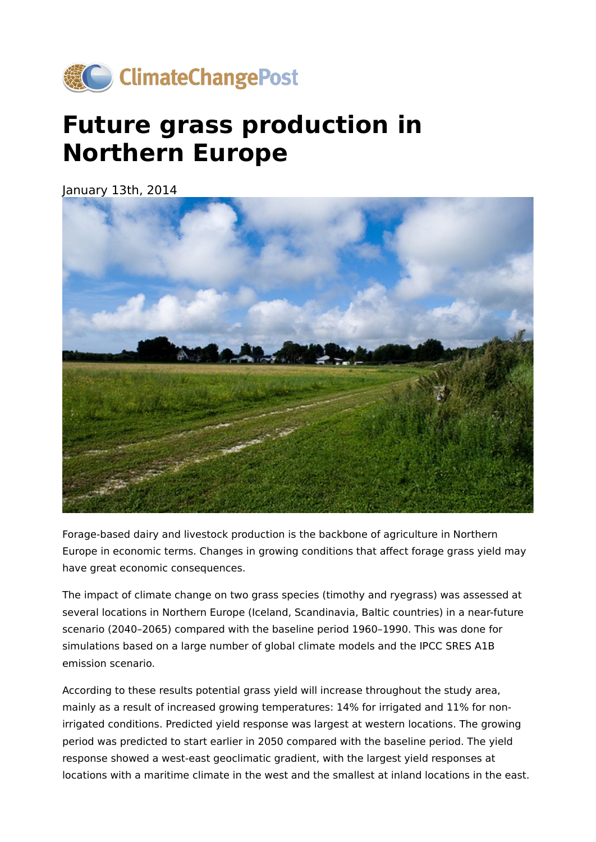

## **Future grass production in Northern Europe**

January 13th, 2014



Forage-based dairy and livestock production is the backbone of agriculture in Northern Europe in economic terms. Changes in growing conditions that affect forage grass yield may have great economic consequences.

The impact of climate change on two grass species (timothy and ryegrass) was assessed at several locations in Northern Europe (Iceland, Scandinavia, Baltic countries) in a near-future scenario (2040–2065) compared with the baseline period 1960–1990. This was done for simulations based on a large number of global climate models and the IPCC SRES A1B emission scenario.

According to these results potential grass yield will increase throughout the study area, mainly as a result of increased growing temperatures: 14% for irrigated and 11% for nonirrigated conditions. Predicted yield response was largest at western locations. The growing period was predicted to start earlier in 2050 compared with the baseline period. The yield response showed a west-east geoclimatic gradient, with the largest yield responses at locations with a maritime climate in the west and the smallest at inland locations in the east.